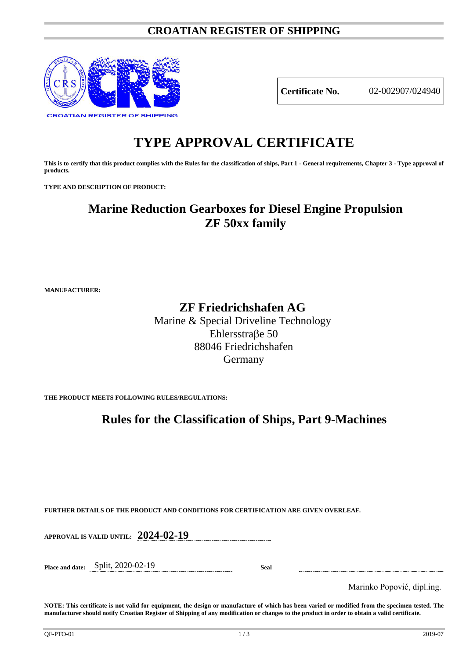### **CROATIAN REGISTER OF SHIPPING**



**Certificate No.** 02-002907/024940

# **TYPE APPROVAL CERTIFICATE**

**This is to certify that this product complies with the Rules for the classification of ships, Part 1 - General requirements, Chapter 3 - Type approval of products.**

**TYPE AND DESCRIPTION OF PRODUCT:** 

## **Marine Reduction Gearboxes for Diesel Engine Propulsion ZF 50xx family**

**MANUFACTURER:**

## **ZF Friedrichshafen AG**

Marine & Special Driveline Technology Ehlersstraβe 50 88046 Friedrichshafen Germany

**THE PRODUCT MEETS FOLLOWING RULES/REGULATIONS:**

## **Rules for the Classification of Ships, Part 9-Machines**

**FURTHER DETAILS OF THE PRODUCT AND CONDITIONS FOR CERTIFICATION ARE GIVEN OVERLEAF.**

**APPROVAL IS VALID UNTIL: 2024-02-19**

**Place and date:** Split, 2020-02-19 **Seal**

Marinko Popović, dipl.ing.

**NOTE: This certificate is not valid for equipment, the design or manufacture of which has been varied or modified from the specimen tested. The manufacturer should notify Croatian Register of Shipping of any modification or changes to the product in order to obtain a valid certificate.**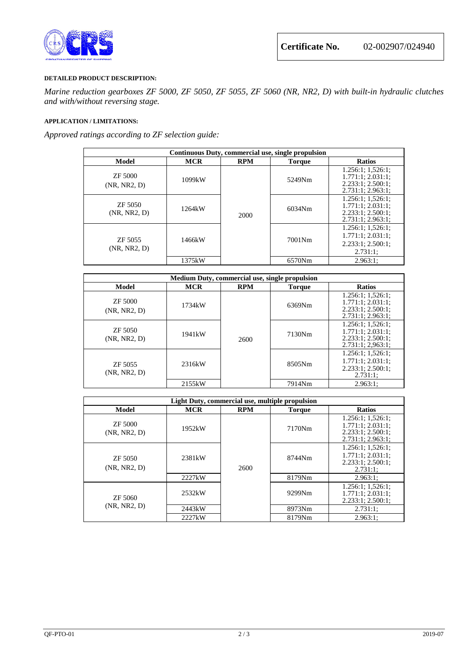

### **DETAILED PRODUCT DESCRIPTION:**

*Marine reduction gearboxes ZF 5000, ZF 5050, ZF 5055, ZF 5060 (NR, NR2, D) with built-in hydraulic clutches and with/without reversing stage.*

### **APPLICATION / LIMITATIONS:**

*Approved ratings according to ZF selection guide:*

| Continuous Duty, commercial use, single propulsion |            |            |               |                                                                                        |
|----------------------------------------------------|------------|------------|---------------|----------------------------------------------------------------------------------------|
| Model                                              | <b>MCR</b> | <b>RPM</b> | <b>Torque</b> | <b>Ratios</b>                                                                          |
| ZF 5000<br>(NR, NR2, D)                            | 1099kW     | 2000       | 5249Nm        | 1.256:1:1.526:1:<br>1.771:1:2.031:1<br>2.233:1; 2.500:1;<br>2.731:1; 2.963:1;          |
| ZF 5050<br>(NR, NR2, D)                            | 1264kW     |            | 6034Nm        | $1.256:1$ ; $1.526:1$ ;<br>1.771:1; 2.031:1;<br>2.233:1; 2.500:1;<br>2.731:1; 2.963:1; |
| ZF 5055<br>(NR, NR2, D)                            | 1466kW     |            | 7001Nm        | $1.256:1$ ; $1.526:1$ ;<br>1.771:1:2.031:1<br>2.233:1; 2.500:1;<br>$2.731:1$ ;         |
|                                                    | 1375kW     |            | 6570Nm        | 2.963:1:                                                                               |

| Medium Duty, commercial use, single propulsion |            |            |               |                                                                                  |
|------------------------------------------------|------------|------------|---------------|----------------------------------------------------------------------------------|
| Model                                          | <b>MCR</b> | <b>RPM</b> | <b>Torque</b> | <b>Ratios</b>                                                                    |
| ZF 5000<br>(NR, NR2, D)                        | 1734kW     | 2600       | 6369Nm        | 1.256:1; 1,526:1;<br>1.771:1:2.031:1<br>2.233:1; 2.500:1;<br>2.731:1; 2.963:1;   |
| ZF 5050<br>(NR, NR2, D)                        | 1941kW     |            | 7130Nm        | 1.256:1:1.526:1:<br>1.771:1:2.031:1<br>2.233:1:2.500:1<br>2.731:1; 2.963:1;      |
| ZF 5055<br>(NR, NR2, D)                        | 2316kW     |            | 8505Nm        | $1.256:1$ ; $1.526:1$ ;<br>1.771:1; 2.031:1;<br>2.233:1; 2.500:1;<br>$2.731:1$ ; |
|                                                | 2155kW     |            | 7914Nm        | 2.963:1:                                                                         |

| Light Duty, commercial use, multiple propulsion |                     |            |               |                                                                                      |  |
|-------------------------------------------------|---------------------|------------|---------------|--------------------------------------------------------------------------------------|--|
| <b>Model</b>                                    | <b>MCR</b>          | <b>RPM</b> | <b>Torque</b> | <b>Ratios</b>                                                                        |  |
| ZF 5000<br>(NR, NR2, D)                         | 1952kW              | 2600       | 7170Nm        | $1.256:1$ ; $1.526:1$ ;<br>1.771:1:2.031:1<br>2.233:1; 2.500:1;<br>2.731:1; 2.963:1; |  |
| ZF 5050<br>(NR, NR2, D)                         | 2381 <sub>k</sub> W |            | 8744Nm        | $1.256:1$ ; $1.526:1$ ;<br>1.771:1:2.031:1<br>2.233:1; 2.500:1;<br>2.731:1;          |  |
|                                                 | 2227kW              |            | 8179Nm        | $2.963:1$ ;                                                                          |  |
| ZF 5060<br>(NR, NR2, D)                         | 2532kW              |            | 9299Nm        | $1.256:1$ ; $1.526:1$ ;<br>1.771:1; 2.031:1;<br>2.233:1; 2.500:1;                    |  |
|                                                 | 2443kW              |            | 8973Nm        | 2.731:1:                                                                             |  |
|                                                 | 2227kW              |            | 8179Nm        | 2.963:1:                                                                             |  |